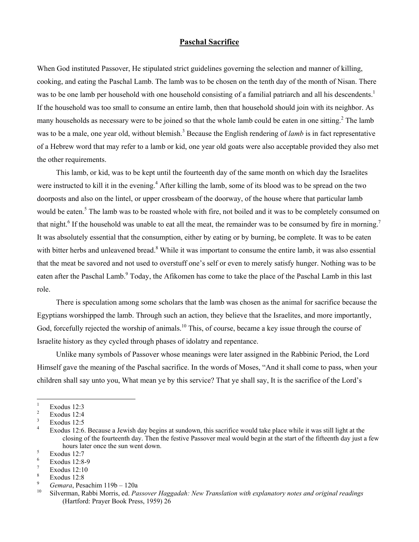## **Paschal Sacrifice**

When God instituted Passover, He stipulated strict guidelines governing the selection and manner of killing, cooking, and eating the Paschal Lamb. The lamb was to be chosen on the tenth day of the month of Nisan. There was to be one lamb per household with one household consisting of a familial patriarch and all his descendents.<sup>1</sup> If the household was too small to consume an entire lamb, then that household should join with its neighbor. As many households as necessary were to be joined so that the whole lamb could be eaten in one sitting.<sup>[2](#page-0-1)</sup> The lamb was to be a male, one year old, without blemish.<sup>[3](#page-0-2)</sup> Because the English rendering of *lamb* is in fact representative of a Hebrew word that may refer to a lamb or kid, one year old goats were also acceptable provided they also met the other requirements.

This lamb, or kid, was to be kept until the fourteenth day of the same month on which day the Israelites were instructed to kill it in the evening.<sup>4</sup> After killing the lamb, some of its blood was to be spread on the two doorposts and also on the lintel, or upper crossbeam of the doorway, of the house where that particular lamb would be eaten.<sup>5</sup> The lamb was to be roasted whole with fire, not boiled and it was to be completely consumed on thatnight.<sup>6</sup> If the household was unable to eat all the meat, the remainder was to be consumed by fire in morning.<sup>[7](#page-0-6)</sup> It was absolutely essential that the consumption, either by eating or by burning, be complete. It was to be eaten with bitter herbs and unleavened bread.<sup>8</sup> While it was important to consume the entire lamb, it was also essential that the meat be savored and not used to overstuff one's self or even to merely satisfy hunger. Nothing was to be eaten after the Paschal Lamb.<sup>[9](#page-0-8)</sup> Today, the Afikomen has come to take the place of the Paschal Lamb in this last role.

There is speculation among some scholars that the lamb was chosen as the animal for sacrifice because the Egyptians worshipped the lamb. Through such an action, they believe that the Israelites, and more importantly, God, forcefully rejected the worship of animals.<sup>10</sup> This, of course, became a key issue through the course of Israelite history as they cycled through phases of idolatry and repentance.

Unlike many symbols of Passover whose meanings were later assigned in the Rabbinic Period, the Lord Himself gave the meaning of the Paschal sacrifice. In the words of Moses, "And it shall come to pass, when your children shall say unto you, What mean ye by this service? That ye shall say, It is the sacrifice of the Lord's

 $\overline{a}$ 

<span id="page-0-0"></span><sup>1</sup> Exodus 12:3 2

<span id="page-0-1"></span>Exodus 12:4 3

<span id="page-0-2"></span>Exodus 12:5

<span id="page-0-3"></span><sup>4</sup> Exodus 12:6. Because a Jewish day begins at sundown, this sacrifice would take place while it was still light at the closing of the fourteenth day. Then the festive Passover meal would begin at the start of the fifteenth day just a few hours later once the sun went down.

<span id="page-0-4"></span>Exodus 12:7 6

<span id="page-0-5"></span>Exodus 12:8-9

<span id="page-0-6"></span><sup>7</sup> Exodus 12:10 8

<span id="page-0-7"></span>Exodus 12:8

<span id="page-0-8"></span><sup>9</sup>

<span id="page-0-9"></span><sup>&</sup>lt;sup>9</sup> Gemara, Pesachim 119b – 120a<br><sup>10</sup> Silverman, Rabbi Morris, ed. *Passover Haggadah: New Translation with explanatory notes and original readings* (Hartford: Prayer Book Press, 1959) 26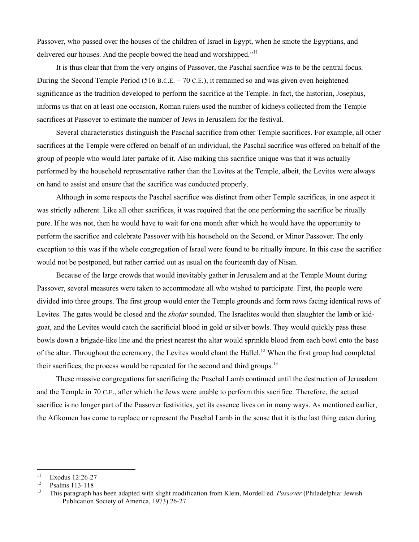Passover, who passed over the houses of the children of Israel in Egypt, when he smote the Egyptians, and delivered our houses. And the people bowed the head and worshipped."<sup>11</sup>

It is thus clear that from the very origins of Passover, the Paschal sacrifice was to be the central focus. During the Second Temple Period (516 B.C.E. – 70 C.E.), it remained so and was given even heightened significance as the tradition developed to perform the sacrifice at the Temple. In fact, the historian, Josephus, informs us that on at least one occasion, Roman rulers used the number of kidneys collected from the Temple sacrifices at Passover to estimate the number of Jews in Jerusalem for the festival.

Several characteristics distinguish the Paschal sacrifice from other Temple sacrifices. For example, all other sacrifices at the Temple were offered on behalf of an individual, the Paschal sacrifice was offered on behalf of the group of people who would later partake of it. Also making this sacrifice unique was that it was actually performed by the household representative rather than the Levites at the Temple, albeit, the Levites were always on hand to assist and ensure that the sacrifice was conducted properly.

Although in some respects the Paschal sacrifice was distinct from other Temple sacrifices, in one aspect it was strictly adherent. Like all other sacrifices, it was required that the one performing the sacrifice be ritually pure. If he was not, then he would have to wait for one month after which he would have the opportunity to perform the sacrifice and celebrate Passover with his household on the Second, or Minor Passover. The only exception to this was if the whole congregation of Israel were found to be ritually impure. In this case the sacrifice would not be postponed, but rather carried out as usual on the fourteenth day of Nisan.

Because of the large crowds that would inevitably gather in Jerusalem and at the Temple Mount during Passover, several measures were taken to accommodate all who wished to participate. First, the people were divided into three groups. The first group would enter the Temple grounds and form rows facing identical rows of Levites. The gates would be closed and the *shofar* sounded. The Israelites would then slaughter the lamb or kidgoat, and the Levites would catch the sacrificial blood in gold or silver bowls. They would quickly pass these bowls down a brigade-like line and the priest nearest the altar would sprinkle blood from each bowl onto the base of the altar. Throughout the ceremony, the Levites would chant the Hallel.<sup>12</sup> When the first group had completed their sacrifices, the process would be repeated for the second and third groups.<sup>13</sup>

These massive congregations for sacrificing the Paschal Lamb continued until the destruction of Jerusalem and the Temple in 70 C.E., after which the Jews were unable to perform this sacrifice. Therefore, the actual sacrifice is no longer part of the Passover festivities, yet its essence lives on in many ways. As mentioned earlier, the Afikomen has come to replace or represent the Paschal Lamb in the sense that it is the last thing eaten during

<span id="page-1-0"></span><sup>11</sup>  $\frac{11}{12}$  Exodus 12:26-27

<span id="page-1-1"></span> $\frac{12}{13}$  Psalms 113-118

<span id="page-1-2"></span><sup>13</sup> This paragraph has been adapted with slight modification from Klein, Mordell ed. *Passover* (Philadelphia: Jewish Publication Society of America, 1973) 26-27